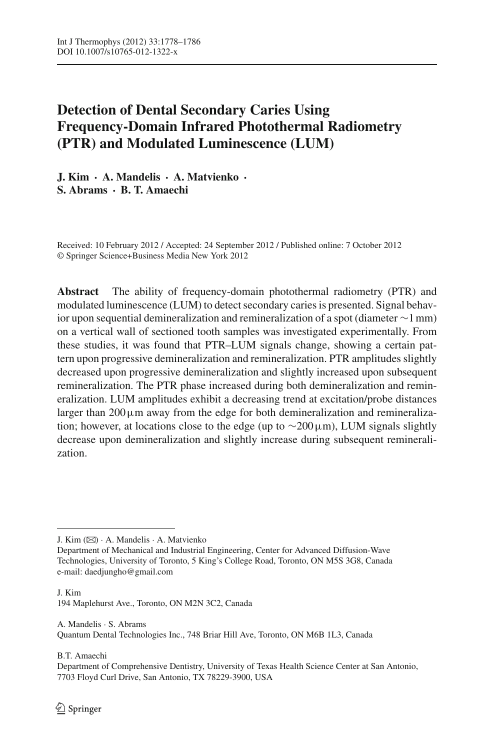# **Detection of Dental Secondary Caries Using Frequency-Domain Infrared Photothermal Radiometry (PTR) and Modulated Luminescence (LUM)**

**J. Kim · A. Mandelis · A. Matvienko · S. Abrams · B. T. Amaechi**

Received: 10 February 2012 / Accepted: 24 September 2012 / Published online: 7 October 2012 © Springer Science+Business Media New York 2012

**Abstract** The ability of frequency-domain photothermal radiometry (PTR) and modulated luminescence (LUM) to detect secondary caries is presented. Signal behavior upon sequential demineralization and remineralization of a spot (diameter ∼1 mm) on a vertical wall of sectioned tooth samples was investigated experimentally. From these studies, it was found that PTR–LUM signals change, showing a certain pattern upon progressive demineralization and remineralization. PTR amplitudes slightly decreased upon progressive demineralization and slightly increased upon subsequent remineralization. The PTR phase increased during both demineralization and remineralization. LUM amplitudes exhibit a decreasing trend at excitation/probe distances larger than  $200 \mu m$  away from the edge for both demineralization and remineralization; however, at locations close to the edge (up to  $\sim$ 200µm), LUM signals slightly decrease upon demineralization and slightly increase during subsequent remineralization.

J. Kim 194 Maplehurst Ave., Toronto, ON M2N 3C2, Canada

A. Mandelis · S. Abrams Quantum Dental Technologies Inc., 748 Briar Hill Ave, Toronto, ON M6B 1L3, Canada

B.T. Amaechi

Department of Comprehensive Dentistry, University of Texas Health Science Center at San Antonio, 7703 Floyd Curl Drive, San Antonio, TX 78229-3900, USA

J. Kim (B) · A. Mandelis · A. Matvienko

Department of Mechanical and Industrial Engineering, Center for Advanced Diffusion-Wave Technologies, University of Toronto, 5 King's College Road, Toronto, ON M5S 3G8, Canada e-mail: daedjungho@gmail.com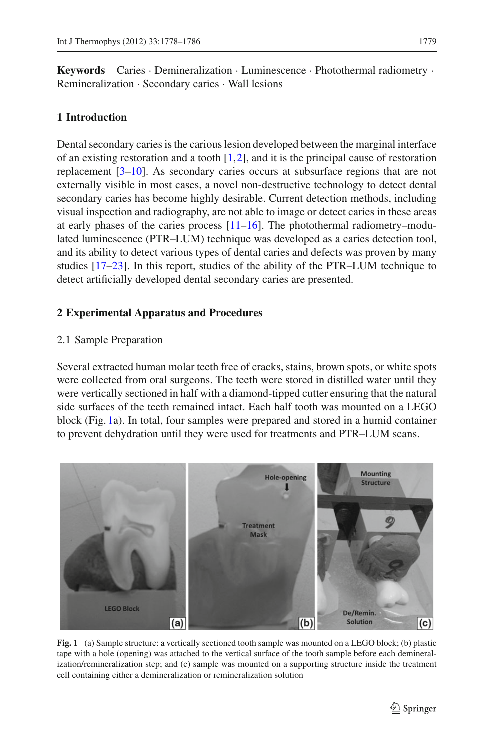**Keywords** Caries · Demineralization · Luminescence · Photothermal radiometry · Remineralization · Secondary caries · Wall lesions

### **1 Introduction**

Dental secondary caries is the carious lesion developed between the marginal interface of an existing restoration and a tooth  $[1,2]$  $[1,2]$  $[1,2]$ , and it is the principal cause of restoration replacement [\[3](#page-7-2)[–10](#page-7-3)]. As secondary caries occurs at subsurface regions that are not externally visible in most cases, a novel non-destructive technology to detect dental secondary caries has become highly desirable. Current detection methods, including visual inspection and radiography, are not able to image or detect caries in these areas at early phases of the caries process [\[11](#page-7-4)[–16](#page-7-5)]. The photothermal radiometry–modulated luminescence (PTR–LUM) technique was developed as a caries detection tool, and its ability to detect various types of dental caries and defects was proven by many studies [\[17](#page-7-6)[–23\]](#page-8-0). In this report, studies of the ability of the PTR–LUM technique to detect artificially developed dental secondary caries are presented.

#### **2 Experimental Apparatus and Procedures**

#### 2.1 Sample Preparation

Several extracted human molar teeth free of cracks, stains, brown spots, or white spots were collected from oral surgeons. The teeth were stored in distilled water until they were vertically sectioned in half with a diamond-tipped cutter ensuring that the natural side surfaces of the teeth remained intact. Each half tooth was mounted on a LEGO block (Fig. [1a](#page-1-0)). In total, four samples were prepared and stored in a humid container to prevent dehydration until they were used for treatments and PTR–LUM scans.



<span id="page-1-0"></span>**Fig. 1** (a) Sample structure: a vertically sectioned tooth sample was mounted on a LEGO block; (b) plastic tape with a hole (opening) was attached to the vertical surface of the tooth sample before each demineralization/remineralization step; and (c) sample was mounted on a supporting structure inside the treatment cell containing either a demineralization or remineralization solution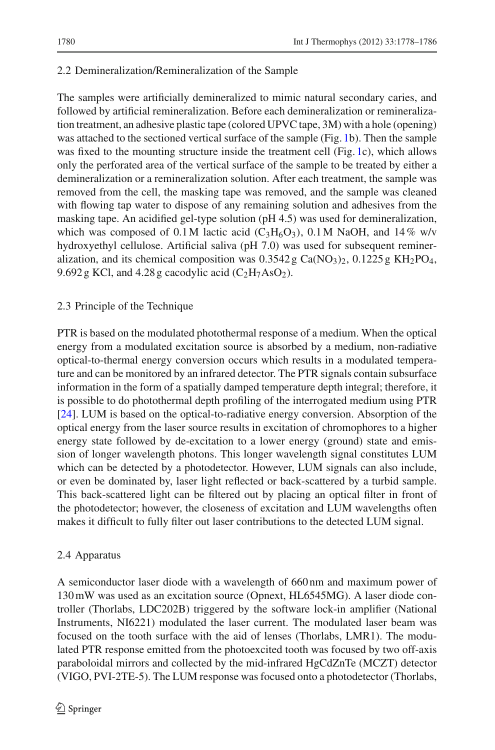# 2.2 Demineralization/Remineralization of the Sample

The samples were artificially demineralized to mimic natural secondary caries, and followed by artificial remineralization. Before each demineralization or remineralization treatment, an adhesive plastic tape (colored UPVC tape, 3M) with a hole (opening) was attached to the sectioned vertical surface of the sample (Fig. [1b](#page-1-0)). Then the sample was fixed to the mounting structure inside the treatment cell (Fig. [1c](#page-1-0)), which allows only the perforated area of the vertical surface of the sample to be treated by either a demineralization or a remineralization solution. After each treatment, the sample was removed from the cell, the masking tape was removed, and the sample was cleaned with flowing tap water to dispose of any remaining solution and adhesives from the masking tape. An acidified gel-type solution (pH 4.5) was used for demineralization, which was composed of 0.1 M lactic acid (C<sub>3</sub>H<sub>6</sub>O<sub>3</sub>), 0.1 M NaOH, and 14% w/v hydroxyethyl cellulose. Artificial saliva (pH 7.0) was used for subsequent remineralization, and its chemical composition was  $0.3542$  g Ca(NO<sub>3</sub>)<sub>2</sub>,  $0.1225$  g KH<sub>2</sub>PO<sub>4</sub>, 9.692 g KCl, and 4.28 g cacodylic acid  $(C<sub>2</sub>H<sub>7</sub>AsO<sub>2</sub>)$ .

## 2.3 Principle of the Technique

PTR is based on the modulated photothermal response of a medium. When the optical energy from a modulated excitation source is absorbed by a medium, non-radiative optical-to-thermal energy conversion occurs which results in a modulated temperature and can be monitored by an infrared detector. The PTR signals contain subsurface information in the form of a spatially damped temperature depth integral; therefore, it is possible to do photothermal depth profiling of the interrogated medium using PTR [\[24](#page-8-1)]. LUM is based on the optical-to-radiative energy conversion. Absorption of the optical energy from the laser source results in excitation of chromophores to a higher energy state followed by de-excitation to a lower energy (ground) state and emission of longer wavelength photons. This longer wavelength signal constitutes LUM which can be detected by a photodetector. However, LUM signals can also include, or even be dominated by, laser light reflected or back-scattered by a turbid sample. This back-scattered light can be filtered out by placing an optical filter in front of the photodetector; however, the closeness of excitation and LUM wavelengths often makes it difficult to fully filter out laser contributions to the detected LUM signal.

## 2.4 Apparatus

A semiconductor laser diode with a wavelength of 660 nm and maximum power of 130 mW was used as an excitation source (Opnext, HL6545MG). A laser diode controller (Thorlabs, LDC202B) triggered by the software lock-in amplifier (National Instruments, NI6221) modulated the laser current. The modulated laser beam was focused on the tooth surface with the aid of lenses (Thorlabs, LMR1). The modulated PTR response emitted from the photoexcited tooth was focused by two off-axis paraboloidal mirrors and collected by the mid-infrared HgCdZnTe (MCZT) detector (VIGO, PVI-2TE-5). The LUM response was focused onto a photodetector (Thorlabs,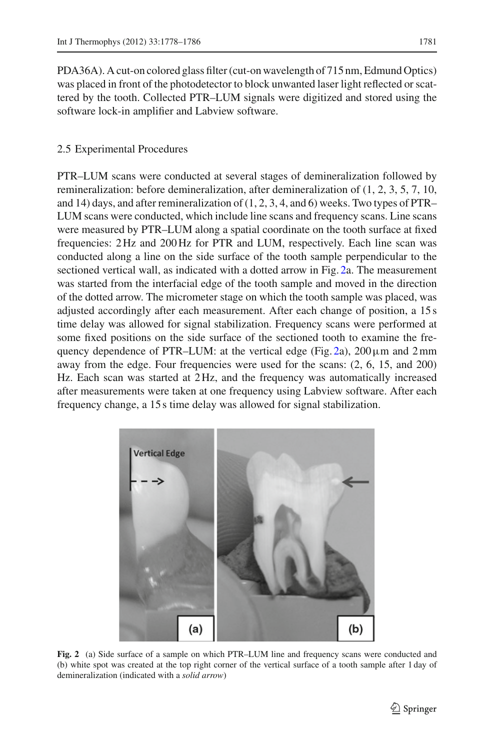PDA36A). A cut-on colored glass filter (cut-on wavelength of 715 nm, Edmund Optics) was placed in front of the photodetector to block unwanted laser light reflected or scattered by the tooth. Collected PTR–LUM signals were digitized and stored using the software lock-in amplifier and Labview software.

### 2.5 Experimental Procedures

PTR–LUM scans were conducted at several stages of demineralization followed by remineralization: before demineralization, after demineralization of (1, 2, 3, 5, 7, 10, and 14) days, and after remineralization of (1, 2, 3, 4, and 6) weeks. Two types of PTR– LUM scans were conducted, which include line scans and frequency scans. Line scans were measured by PTR–LUM along a spatial coordinate on the tooth surface at fixed frequencies: 2 Hz and 200 Hz for PTR and LUM, respectively. Each line scan was conducted along a line on the side surface of the tooth sample perpendicular to the sectioned vertical wall, as indicated with a dotted arrow in Fig. [2a](#page-3-0). The measurement was started from the interfacial edge of the tooth sample and moved in the direction of the dotted arrow. The micrometer stage on which the tooth sample was placed, was adjusted accordingly after each measurement. After each change of position, a 15 s time delay was allowed for signal stabilization. Frequency scans were performed at some fixed positions on the side surface of the sectioned tooth to examine the fre-quency dependence of PTR–LUM: at the vertical edge (Fig. [2a](#page-3-0)),  $200 \mu m$  and  $2 mm$ away from the edge. Four frequencies were used for the scans: (2, 6, 15, and 200) Hz. Each scan was started at 2 Hz, and the frequency was automatically increased after measurements were taken at one frequency using Labview software. After each frequency change, a 15 s time delay was allowed for signal stabilization.



<span id="page-3-0"></span>**Fig. 2** (a) Side surface of a sample on which PTR–LUM line and frequency scans were conducted and (b) white spot was created at the top right corner of the vertical surface of a tooth sample after 1 day of demineralization (indicated with a *solid arrow*)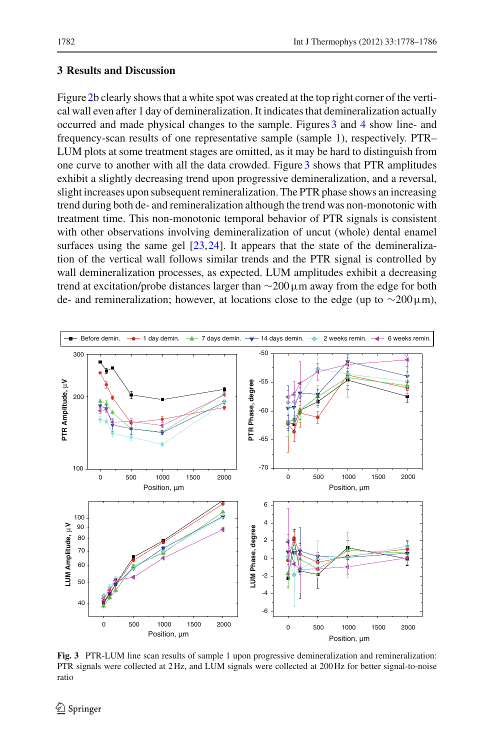### **3 Results and Discussion**

Figure [2b](#page-3-0) clearly shows that a white spot was created at the top right corner of the vertical wall even after 1 day of demineralization. It indicates that demineralization actually occurred and made physical changes to the sample. Figures [3](#page-4-0) and [4](#page-5-0) show line- and frequency-scan results of one representative sample (sample 1), respectively. PTR– LUM plots at some treatment stages are omitted, as it may be hard to distinguish from one curve to another with all the data crowded. Figure [3](#page-4-0) shows that PTR amplitudes exhibit a slightly decreasing trend upon progressive demineralization, and a reversal, slight increases upon subsequent remineralization. The PTR phase shows an increasing trend during both de- and remineralization although the trend was non-monotonic with treatment time. This non-monotonic temporal behavior of PTR signals is consistent with other observations involving demineralization of uncut (whole) dental enamel surfaces using the same gel  $[23,24]$  $[23,24]$  $[23,24]$ . It appears that the state of the demineralization of the vertical wall follows similar trends and the PTR signal is controlled by wall demineralization processes, as expected. LUM amplitudes exhibit a decreasing trend at excitation/probe distances larger than ∼200µm away from the edge for both de- and remineralization; however, at locations close to the edge (up to  $\sim$ 200 $\mu$ m),



<span id="page-4-0"></span>**Fig. 3** PTR-LUM line scan results of sample 1 upon progressive demineralization and remineralization: PTR signals were collected at 2 Hz, and LUM signals were collected at 200 Hz for better signal-to-noise ratio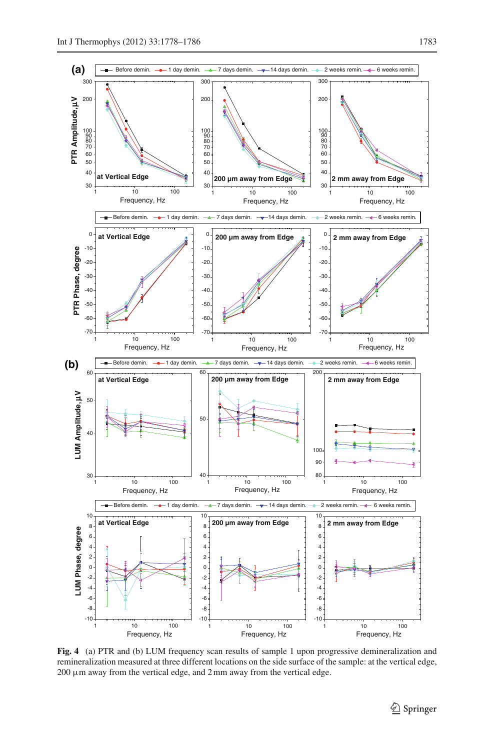

<span id="page-5-0"></span>**Fig. 4** (a) PTR and (b) LUM frequency scan results of sample 1 upon progressive demineralization and remineralization measured at three different locations on the side surface of the sample: at the vertical edge,  $200 \mu$ m away from the vertical edge, and  $2 \text{ mm}$  away from the vertical edge.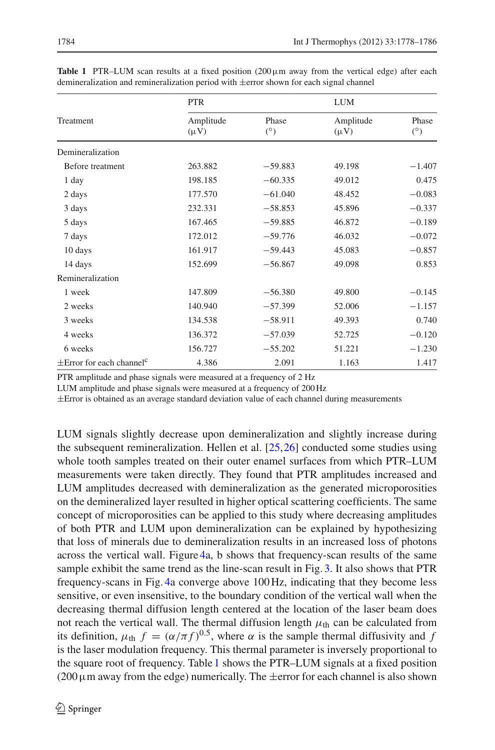| Treatment                                 | <b>PTR</b>             |                     | <b>LUM</b>             |                     |
|-------------------------------------------|------------------------|---------------------|------------------------|---------------------|
|                                           | Amplitude<br>$(\mu V)$ | Phase<br>$(^\circ)$ | Amplitude<br>$(\mu V)$ | Phase<br>$(^\circ)$ |
| Demineralization                          |                        |                     |                        |                     |
| Before treatment                          | 263.882                | $-59.883$           | 49.198                 | $-1.407$            |
| 1 day                                     | 198.185                | $-60.335$           | 49.012                 | 0.475               |
| 2 days                                    | 177.570                | $-61.040$           | 48.452                 | $-0.083$            |
| 3 days                                    | 232.331                | $-58.853$           | 45.896                 | $-0.337$            |
| 5 days                                    | 167.465                | $-59.885$           | 46.872                 | $-0.189$            |
| 7 days                                    | 172.012                | $-59.776$           | 46.032                 | $-0.072$            |
| 10 days                                   | 161.917                | $-59.443$           | 45.083                 | $-0.857$            |
| 14 days                                   | 152.699                | $-56.867$           | 49.098                 | 0.853               |
| Remineralization                          |                        |                     |                        |                     |
| 1 week                                    | 147.809                | $-56.380$           | 49.800                 | $-0.145$            |
| 2 weeks                                   | 140.940                | $-57.399$           | 52.006                 | $-1.157$            |
| 3 weeks                                   | 134.538                | $-58.911$           | 49.393                 | 0.740               |
| 4 weeks                                   | 136.372                | $-57.039$           | 52.725                 | $-0.120$            |
| 6 weeks                                   | 156.727                | $-55.202$           | 51.221                 | $-1.230$            |
| $\pm$ Error for each channel <sup>c</sup> | 4.386                  | 2.091               | 1.163                  | 1.417               |

<span id="page-6-0"></span>**Table 1** PTR–LUM scan results at a fixed position (200µm away from the vertical edge) after each demineralization and remineralization period with ±error shown for each signal channel

PTR amplitude and phase signals were measured at a frequency of 2 Hz

LUM amplitude and phase signals were measured at a frequency of 200 Hz

 $\pm$ Error is obtained as an average standard deviation value of each channel during measurements

LUM signals slightly decrease upon demineralization and slightly increase during the subsequent remineralization. Hellen et al. [\[25](#page-8-2)[,26](#page-8-3)] conducted some studies using whole tooth samples treated on their outer enamel surfaces from which PTR–LUM measurements were taken directly. They found that PTR amplitudes increased and LUM amplitudes decreased with demineralization as the generated microporosities on the demineralized layer resulted in higher optical scattering coefficients. The same concept of microporosities can be applied to this study where decreasing amplitudes of both PTR and LUM upon demineralization can be explained by hypothesizing that loss of minerals due to demineralization results in an increased loss of photons across the vertical wall. Figure [4a](#page-5-0), b shows that frequency-scan results of the same sample exhibit the same trend as the line-scan result in Fig. [3.](#page-4-0) It also shows that PTR frequency-scans in Fig. [4a](#page-5-0) converge above 100 Hz, indicating that they become less sensitive, or even insensitive, to the boundary condition of the vertical wall when the decreasing thermal diffusion length centered at the location of the laser beam does not reach the vertical wall. The thermal diffusion length  $\mu_{\text{th}}$  can be calculated from its definition,  $\mu_{\text{th}} f = (\alpha/\pi f)^{0.5}$ , where  $\alpha$  is the sample thermal diffusivity and f is the laser modulation frequency. This thermal parameter is inversely proportional to the square root of frequency. Table [1](#page-6-0) shows the PTR–LUM signals at a fixed position  $(200 \,\mu \text{m}$  away from the edge) numerically. The  $\pm$ error for each channel is also shown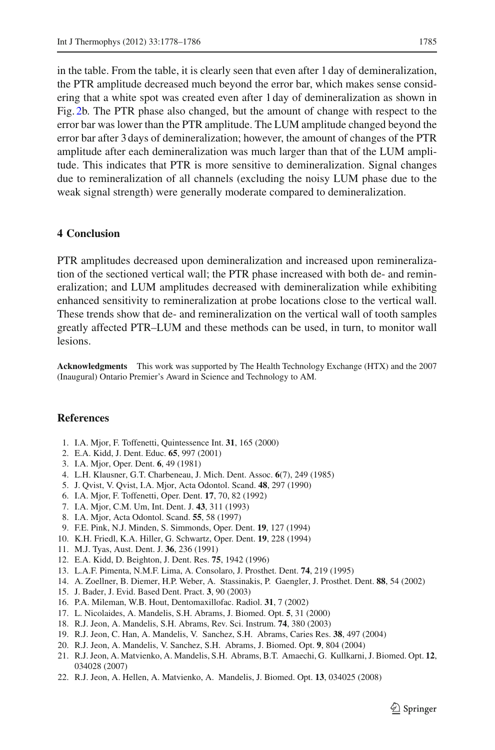in the table. From the table, it is clearly seen that even after 1 day of demineralization, the PTR amplitude decreased much beyond the error bar, which makes sense considering that a white spot was created even after 1 day of demineralization as shown in Fig. [2b](#page-3-0). The PTR phase also changed, but the amount of change with respect to the error bar was lower than the PTR amplitude. The LUM amplitude changed beyond the error bar after 3 days of demineralization; however, the amount of changes of the PTR amplitude after each demineralization was much larger than that of the LUM amplitude. This indicates that PTR is more sensitive to demineralization. Signal changes due to remineralization of all channels (excluding the noisy LUM phase due to the weak signal strength) were generally moderate compared to demineralization.

### **4 Conclusion**

PTR amplitudes decreased upon demineralization and increased upon remineralization of the sectioned vertical wall; the PTR phase increased with both de- and remineralization; and LUM amplitudes decreased with demineralization while exhibiting enhanced sensitivity to remineralization at probe locations close to the vertical wall. These trends show that de- and remineralization on the vertical wall of tooth samples greatly affected PTR–LUM and these methods can be used, in turn, to monitor wall lesions.

**Acknowledgments** This work was supported by The Health Technology Exchange (HTX) and the 2007 (Inaugural) Ontario Premier's Award in Science and Technology to AM.

#### <span id="page-7-0"></span>**References**

- 1. I.A. Mjor, F. Toffenetti, Quintessence Int. **31**, 165 (2000)
- <span id="page-7-1"></span>2. E.A. Kidd, J. Dent. Educ. **65**, 997 (2001)
- 3. I.A. Mjor, Oper. Dent. **6**, 49 (1981)
- <span id="page-7-2"></span>4. L.H. Klausner, G.T. Charbeneau, J. Mich. Dent. Assoc. **6**(7), 249 (1985)
- 5. J. Qvist, V. Qvist, I.A. Mjor, Acta Odontol. Scand. **48**, 297 (1990)
- 6. I.A. Mjor, F. Toffenetti, Oper. Dent. **17**, 70, 82 (1992)
- 7. I.A. Mjor, C.M. Um, Int. Dent. J. **43**, 311 (1993)
- 8. I.A. Mjor, Acta Odontol. Scand. **55**, 58 (1997)
- 9. F.E. Pink, N.J. Minden, S. Simmonds, Oper. Dent. **19**, 127 (1994)
- <span id="page-7-3"></span>10. K.H. Friedl, K.A. Hiller, G. Schwartz, Oper. Dent. **19**, 228 (1994)
- 11. M.J. Tyas, Aust. Dent. J. **36**, 236 (1991)
- <span id="page-7-4"></span>12. E.A. Kidd, D. Beighton, J. Dent. Res. **75**, 1942 (1996)
- 13. L.A.F. Pimenta, N.M.F. Lima, A. Consolaro, J. Prosthet. Dent. **74**, 219 (1995)
- 14. A. Zoellner, B. Diemer, H.P. Weber, A. Stassinakis, P. Gaengler, J. Prosthet. Dent. **88**, 54 (2002)
- 15. J. Bader, J. Evid. Based Dent. Pract. **3**, 90 (2003)
- <span id="page-7-5"></span>16. P.A. Mileman, W.B. Hout, Dentomaxillofac. Radiol. **31**, 7 (2002)
- <span id="page-7-6"></span>17. L. Nicolaides, A. Mandelis, S.H. Abrams, J. Biomed. Opt. **5**, 31 (2000)
- 18. R.J. Jeon, A. Mandelis, S.H. Abrams, Rev. Sci. Instrum. **74**, 380 (2003)
- 19. R.J. Jeon, C. Han, A. Mandelis, V. Sanchez, S.H. Abrams, Caries Res. **38**, 497 (2004)
- 20. R.J. Jeon, A. Mandelis, V. Sanchez, S.H. Abrams, J. Biomed. Opt. **9**, 804 (2004)
- 21. R.J. Jeon, A. Matvienko, A. Mandelis, S.H. Abrams, B.T. Amaechi, G. Kullkarni, J. Biomed. Opt. **12**, 034028 (2007)
- 22. R.J. Jeon, A. Hellen, A. Matvienko, A. Mandelis, J. Biomed. Opt. **13**, 034025 (2008)